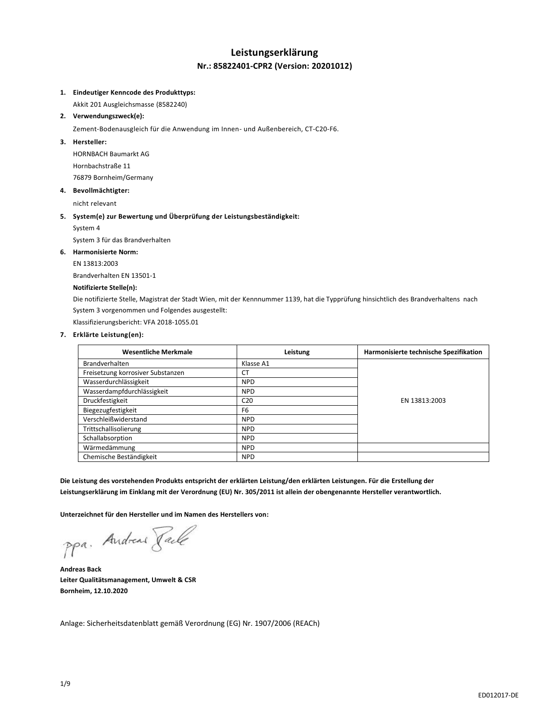## **Leistungserklärung Nr.: 85822401-CPR2 (Version: 20201012)**

### **1. Eindeutiger Kenncode des Produkttyps:**

Akkit 201 Ausgleichsmasse (8582240)

**2. Verwendungszweck(e):**

Zement-Bodenausgleich für die Anwendung im Innen- und Außenbereich, CT-C20-F6.

### **3. Hersteller:**

HORNBACH Baumarkt AG Hornbachstraße 11 76879 Bornheim/Germany

### **4. Bevollmächtigter:**

nicht relevant

### **5. System(e) zur Bewertung und Überprüfung der Leistungsbeständigkeit:**

System 4

System 3 für das Brandverhalten

### **6. Harmonisierte Norm:**

EN 13813:2003

Brandverhalten EN 13501-1

### **Notifizierte Stelle(n):**

Die notifizierte Stelle, Magistrat der Stadt Wien, mit der Kennnummer 1139, hat die Typprüfung hinsichtlich des Brandverhaltens nach System 3 vorgenommen und Folgendes ausgestellt:

Klassifizierungsbericht: VFA 2018-1055.01

## **7. Erklärte Leistung(en):**

| <b>Wesentliche Merkmale</b>       | Leistung        | Harmonisierte technische Spezifikation |
|-----------------------------------|-----------------|----------------------------------------|
| <b>Brandverhalten</b>             | Klasse A1       |                                        |
| Freisetzung korrosiver Substanzen | <b>CT</b>       |                                        |
| Wasserdurchlässigkeit             | <b>NPD</b>      |                                        |
| Wasserdampfdurchlässigkeit        | <b>NPD</b>      |                                        |
| Druckfestigkeit                   | C <sub>20</sub> | EN 13813:2003                          |
| Biegezugfestigkeit                | F <sub>6</sub>  |                                        |
| Verschleißwiderstand              | <b>NPD</b>      |                                        |
| Trittschallisolierung             | <b>NPD</b>      |                                        |
| Schallabsorption                  | <b>NPD</b>      |                                        |
| Wärmedämmung                      | <b>NPD</b>      |                                        |
| Chemische Beständigkeit           | <b>NPD</b>      |                                        |

**Die Leistung des vorstehenden Produkts entspricht der erklärten Leistung/den erklärten Leistungen. Für die Erstellung der Leistungserklärung im Einklang mit der Verordnung (EU) Nr. 305/2011 ist allein der obengenannte Hersteller verantwortlich.**

**Unterzeichnet für den Hersteller und im Namen des Herstellers von:**

ppa. Andreas Faile

**Andreas Back Leiter Qualitätsmanagement, Umwelt & CSR Bornheim, 12.10.2020**

Anlage: Sicherheitsdatenblatt gemäß Verordnung (EG) Nr. 1907/2006 (REACh)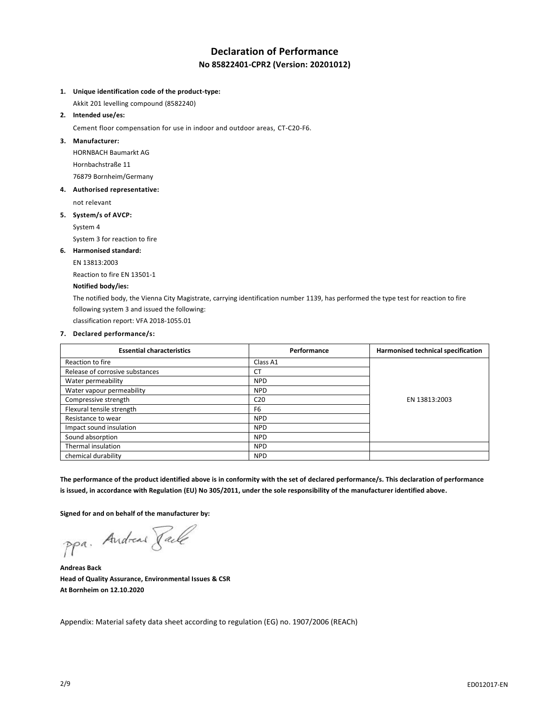# **Declaration of Performance No 85822401-CPR2 (Version: 20201012)**

### **1. Unique identification code of the product-type:**

Akkit 201 levelling compound (8582240)

**2. Intended use/es:**

Cement floor compensation for use in indoor and outdoor areas, CT-C20-F6.

**3. Manufacturer:**

HORNBACH Baumarkt AG Hornbachstraße 11 76879 Bornheim/Germany

**4. Authorised representative:**

not relevant

**5. System/s of AVCP:**

System 4

System 3 for reaction to fire

### **6. Harmonised standard:**

EN 13813:2003

Reaction to fire EN 13501-1

## **Notified body/ies:**

The notified body, the Vienna City Magistrate, carrying identification number 1139, has performed the type test for reaction to fire following system 3 and issued the following:

classification report: VFA 2018-1055.01

#### **7. Declared performance/s:**

| <b>Essential characteristics</b> | Performance     | Harmonised technical specification |
|----------------------------------|-----------------|------------------------------------|
| Reaction to fire                 | Class A1        |                                    |
| Release of corrosive substances  | <b>CT</b>       |                                    |
| Water permeability               | <b>NPD</b>      |                                    |
| Water vapour permeability        | <b>NPD</b>      |                                    |
| Compressive strength             | C <sub>20</sub> | EN 13813:2003                      |
| Flexural tensile strength        | F <sub>6</sub>  |                                    |
| Resistance to wear               | <b>NPD</b>      |                                    |
| Impact sound insulation          | <b>NPD</b>      |                                    |
| Sound absorption                 | <b>NPD</b>      |                                    |
| Thermal insulation               | <b>NPD</b>      |                                    |
| chemical durability              | <b>NPD</b>      |                                    |

**The performance of the product identified above is in conformity with the set of declared performance/s. This declaration of performance is issued, in accordance with Regulation (EU) No 305/2011, under the sole responsibility of the manufacturer identified above.**

**Signed for and on behalf of the manufacturer by:**

ppa. Andreas Pale

**Andreas Back Head of Quality Assurance, Environmental Issues & CSR At Bornheim on 12.10.2020**

Appendix: Material safety data sheet according to regulation (EG) no. 1907/2006 (REACh)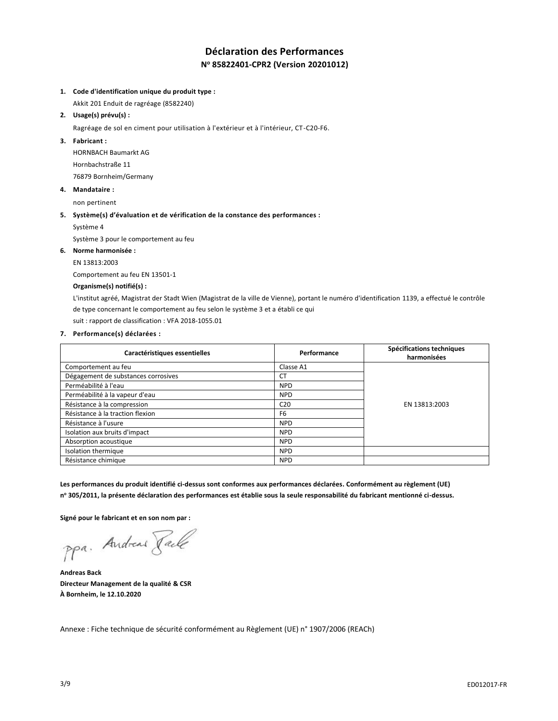# **Déclaration des Performances N <sup>o</sup> 85822401-CPR2 (Version 20201012)**

### **1. Code d'identification unique du produit type :**

Akkit 201 Enduit de ragréage (8582240)

**2. Usage(s) prévu(s) :**

Ragréage de sol en ciment pour utilisation à l'extérieur et à l'intérieur, CT-C20-F6.

**3. Fabricant :**

HORNBACH Baumarkt AG Hornbachstraße 11 76879 Bornheim/Germany

**4. Mandataire :**

non pertinent

**5. Système(s) d'évaluation et de vérification de la constance des performances :**

Système 4

Système 3 pour le comportement au feu

## **6. Norme harmonisée :**

EN 13813:2003

Comportement au feu EN 13501-1

## **Organisme(s) notifié(s) :**

L'institut agréé, Magistrat der Stadt Wien (Magistrat de la ville de Vienne), portant le numéro d'identification 1139, a effectué le contrôle de type concernant le comportement au feu selon le système 3 et a établi ce qui

suit : rapport de classification : VFA 2018-1055.01

### **7. Performance(s) déclarées :**

| Caractéristiques essentielles       | Performance     | Spécifications techniques<br>harmonisées |
|-------------------------------------|-----------------|------------------------------------------|
| Comportement au feu                 | Classe A1       |                                          |
| Dégagement de substances corrosives | <b>CT</b>       |                                          |
| Perméabilité à l'eau                | <b>NPD</b>      |                                          |
| Perméabilité à la vapeur d'eau      | <b>NPD</b>      |                                          |
| Résistance à la compression         | C <sub>20</sub> | EN 13813:2003                            |
| Résistance à la traction flexion    | F <sub>6</sub>  |                                          |
| Résistance à l'usure                | <b>NPD</b>      |                                          |
| Isolation aux bruits d'impact       | <b>NPD</b>      |                                          |
| Absorption acoustique               | <b>NPD</b>      |                                          |
| Isolation thermique                 | <b>NPD</b>      |                                          |
| Résistance chimique                 | <b>NPD</b>      |                                          |

**Les performances du produit identifié ci-dessus sont conformes aux performances déclarées. Conformément au règlement (UE) n <sup>o</sup> 305/2011, la présente déclaration des performances est établie sous la seule responsabilité du fabricant mentionné ci-dessus.**

**Signé pour le fabricant et en son nom par :**

ppa. Andreas Faile

**Andreas Back Directeur Management de la qualité & CSR À Bornheim, le 12.10.2020**

Annexe : Fiche technique de sécurité conformément au Règlement (UE) n° 1907/2006 (REACh)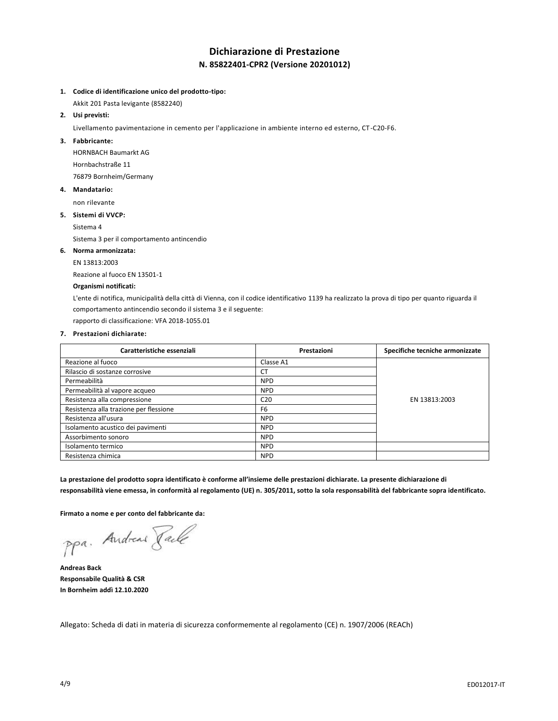# **Dichiarazione di Prestazione N. 85822401-CPR2 (Versione 20201012)**

- **1. Codice di identificazione unico del prodotto-tipo:**
- Akkit 201 Pasta levigante (8582240)
- **2. Usi previsti:**

Livellamento pavimentazione in cemento per l'applicazione in ambiente interno ed esterno, CT-C20-F6.

**3. Fabbricante:**

HORNBACH Baumarkt AG Hornbachstraße 11 76879 Bornheim/Germany

**4. Mandatario:**

non rilevante

**5. Sistemi di VVCP:**

Sistema 4

Sistema 3 per il comportamento antincendio

### **6. Norma armonizzata:**

EN 13813:2003

Reazione al fuoco EN 13501-1

## **Organismi notificati:**

L'ente di notifica, municipalità della città di Vienna, con il codice identificativo 1139 ha realizzato la prova di tipo per quanto riguarda il comportamento antincendio secondo il sistema 3 e il seguente:

rapporto di classificazione: VFA 2018-1055.01

### **7. Prestazioni dichiarate:**

| Caratteristiche essenziali             | Prestazioni     | Specifiche tecniche armonizzate |
|----------------------------------------|-----------------|---------------------------------|
| Reazione al fuoco                      | Classe A1       |                                 |
| Rilascio di sostanze corrosive         | <b>CT</b>       |                                 |
| Permeabilità                           | <b>NPD</b>      |                                 |
| Permeabilità al vapore acqueo          | <b>NPD</b>      |                                 |
| Resistenza alla compressione           | C <sub>20</sub> | EN 13813:2003                   |
| Resistenza alla trazione per flessione | F <sub>6</sub>  |                                 |
| Resistenza all'usura                   | <b>NPD</b>      |                                 |
| Isolamento acustico dei pavimenti      | <b>NPD</b>      |                                 |
| Assorbimento sonoro                    | <b>NPD</b>      |                                 |
| Isolamento termico                     | <b>NPD</b>      |                                 |
| Resistenza chimica                     | <b>NPD</b>      |                                 |

**La prestazione del prodotto sopra identificato è conforme all'insieme delle prestazioni dichiarate. La presente dichiarazione di responsabilità viene emessa, in conformità al regolamento (UE) n. 305/2011, sotto la sola responsabilità del fabbricante sopra identificato.**

**Firmato a nome e per conto del fabbricante da:**

ppa. Andreas Face

**Andreas Back Responsabile Qualità & CSR In Bornheim addì 12.10.2020**

Allegato: Scheda di dati in materia di sicurezza conformemente al regolamento (CE) n. 1907/2006 (REACh)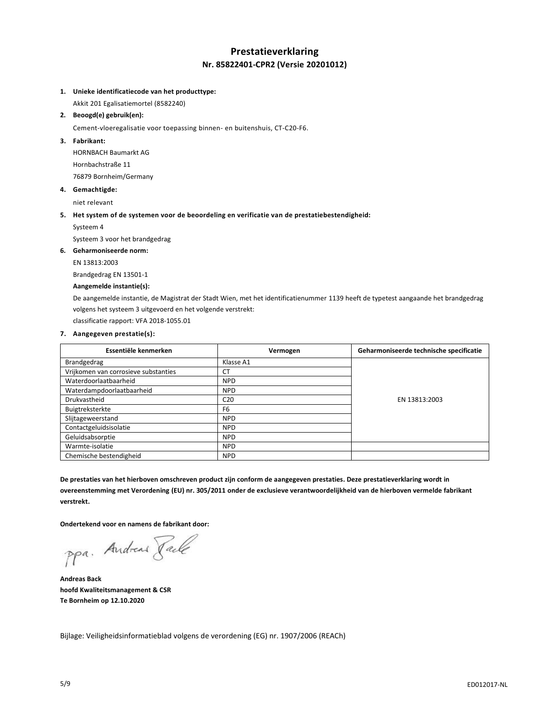## **Prestatieverklaring Nr. 85822401-CPR2 (Versie 20201012)**

### **1. Unieke identificatiecode van het producttype:**

Akkit 201 Egalisatiemortel (8582240)

### **2. Beoogd(e) gebruik(en):**

Cement-vloeregalisatie voor toepassing binnen- en buitenshuis, CT-C20-F6.

### **3. Fabrikant:**

HORNBACH Baumarkt AG Hornbachstraße 11 76879 Bornheim/Germany

### **4. Gemachtigde:**

niet relevant

### **5. Het system of de systemen voor de beoordeling en verificatie van de prestatiebestendigheid:**

Systeem 4

Systeem 3 voor het brandgedrag

**6. Geharmoniseerde norm:**

### EN 13813:2003

Brandgedrag EN 13501-1

## **Aangemelde instantie(s):**

De aangemelde instantie, de Magistrat der Stadt Wien, met het identificatienummer 1139 heeft de typetest aangaande het brandgedrag volgens het systeem 3 uitgevoerd en het volgende verstrekt:

classificatie rapport: VFA 2018-1055.01

### **7. Aangegeven prestatie(s):**

| Essentiële kenmerken                 | Vermogen        | Geharmoniseerde technische specificatie |
|--------------------------------------|-----------------|-----------------------------------------|
| Brandgedrag                          | Klasse A1       |                                         |
| Vrijkomen van corrosieve substanties | СT              |                                         |
| Waterdoorlaatbaarheid                | <b>NPD</b>      |                                         |
| Waterdampdoorlaatbaarheid            | <b>NPD</b>      |                                         |
| Drukvastheid                         | C <sub>20</sub> | EN 13813:2003                           |
| Buigtreksterkte                      | F <sub>6</sub>  |                                         |
| Slijtageweerstand                    | <b>NPD</b>      |                                         |
| Contactgeluidsisolatie               | <b>NPD</b>      |                                         |
| Geluidsabsorptie                     | <b>NPD</b>      |                                         |
| Warmte-isolatie                      | <b>NPD</b>      |                                         |
| Chemische bestendigheid              | <b>NPD</b>      |                                         |

**De prestaties van het hierboven omschreven product zijn conform de aangegeven prestaties. Deze prestatieverklaring wordt in overeenstemming met Verordening (EU) nr. 305/2011 onder de exclusieve verantwoordelijkheid van de hierboven vermelde fabrikant verstrekt.**

**Ondertekend voor en namens de fabrikant door:**

ppa. Andreas Paule

**Andreas Back hoofd Kwaliteitsmanagement & CSR Te Bornheim op 12.10.2020**

Bijlage: Veiligheidsinformatieblad volgens de verordening (EG) nr. 1907/2006 (REACh)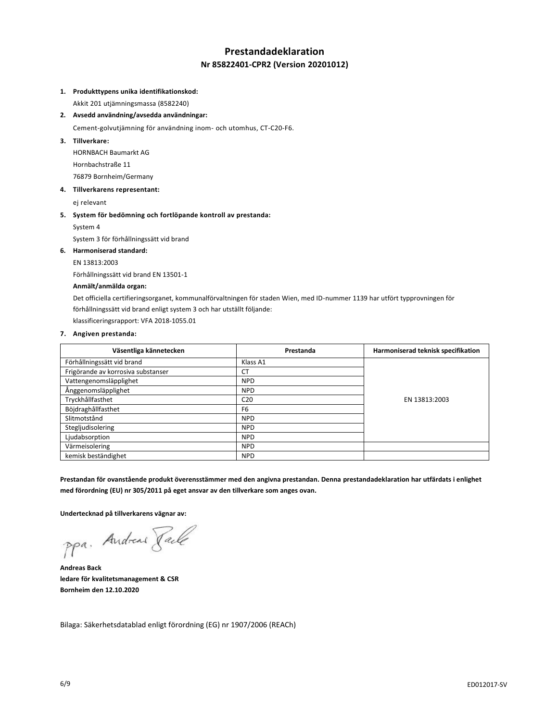# **Prestandadeklaration Nr 85822401-CPR2 (Version 20201012)**

### **1. Produkttypens unika identifikationskod:**

Akkit 201 utjämningsmassa (8582240)

**2. Avsedd användning/avsedda användningar:**

Cement-golvutjämning för användning inom- och utomhus, CT-C20-F6.

**3. Tillverkare:**

HORNBACH Baumarkt AG Hornbachstraße 11 76879 Bornheim/Germany

**4. Tillverkarens representant:**

ej relevant

**5. System för bedömning och fortlöpande kontroll av prestanda:**

System 4

System 3 för förhållningssätt vid brand

### **6. Harmoniserad standard:**

EN 13813:2003

Förhållningssätt vid brand EN 13501-1

## **Anmält/anmälda organ:**

Det officiella certifieringsorganet, kommunalförvaltningen för staden Wien, med ID-nummer 1139 har utfört typprovningen för förhållningssätt vid brand enligt system 3 och har utställt följande:

klassificeringsrapport: VFA 2018-1055.01

### **7. Angiven prestanda:**

| Väsentliga kännetecken             | Prestanda       | Harmoniserad teknisk specifikation |
|------------------------------------|-----------------|------------------------------------|
| Förhållningssätt vid brand         | Klass A1        |                                    |
| Frigörande av korrosiva substanser | <b>CT</b>       |                                    |
| Vattengenomsläpplighet             | <b>NPD</b>      |                                    |
| Ånggenomsläpplighet                | <b>NPD</b>      |                                    |
| Tryckhållfasthet                   | C <sub>20</sub> | EN 13813:2003                      |
| Böjdraghållfasthet                 | F <sub>6</sub>  |                                    |
| Slitmotstånd                       | <b>NPD</b>      |                                    |
| Stegljudisolering                  | <b>NPD</b>      |                                    |
| Ljudabsorption                     | <b>NPD</b>      |                                    |
| Värmeisolering                     | <b>NPD</b>      |                                    |
| kemisk beständighet                | <b>NPD</b>      |                                    |

**Prestandan för ovanstående produkt överensstämmer med den angivna prestandan. Denna prestandadeklaration har utfärdats i enlighet med förordning (EU) nr 305/2011 på eget ansvar av den tillverkare som anges ovan.**

**Undertecknad på tillverkarens vägnar av:**

ppa. Andreas Faile

**Andreas Back ledare för kvalitetsmanagement & CSR Bornheim den 12.10.2020**

Bilaga: Säkerhetsdatablad enligt förordning (EG) nr 1907/2006 (REACh)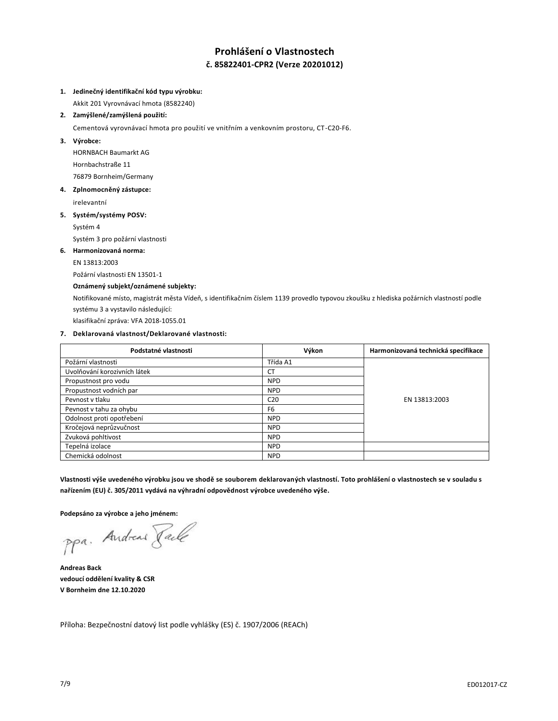# **Prohlášení o Vlastnostech č. 85822401-CPR2 (Verze 20201012)**

### **1. Jedinečný identifikační kód typu výrobku:**

Akkit 201 Vyrovnávací hmota (8582240)

## **2. Zamýšlené/zamýšlená použití:**

Cementová vyrovnávací hmota pro použití ve vnitřním a venkovním prostoru, CT-C20-F6.

**3. Výrobce:**

HORNBACH Baumarkt AG Hornbachstraße 11 76879 Bornheim/Germany

**4. Zplnomocněný zástupce:**

irelevantní

## **5. Systém/systémy POSV:**

Systém 4

Systém 3 pro požární vlastnosti

### **6. Harmonizovaná norma:**

EN 13813:2003

Požární vlastnosti EN 13501-1

## **Oznámený subjekt/oznámené subjekty:**

Notifikované místo, magistrát města Vídeň, s identifikačním číslem 1139 provedlo typovou zkoušku z hlediska požárních vlastností podle systému 3 a vystavilo následující:

klasifikační zpráva: VFA 2018-1055.01

## **7. Deklarovaná vlastnost/Deklarované vlastnosti:**

| Podstatné vlastnosti         | Výkon           | Harmonizovaná technická specifikace |
|------------------------------|-----------------|-------------------------------------|
| Požární vlastnosti           | Třída A1        |                                     |
| Uvolňování korozivních látek | <b>CT</b>       |                                     |
| Propustnost pro vodu         | <b>NPD</b>      |                                     |
| Propustnost vodních par      | <b>NPD</b>      |                                     |
| Peynost y tlaku              | C <sub>20</sub> | EN 13813:2003                       |
| Pevnost v tahu za ohybu      | F <sub>6</sub>  |                                     |
| Odolnost proti opotřebení    | <b>NPD</b>      |                                     |
| Kročejová neprůzvučnost      | <b>NPD</b>      |                                     |
| Zvuková pohltivost           | <b>NPD</b>      |                                     |
| Tepelná izolace              | <b>NPD</b>      |                                     |
| Chemická odolnost            | <b>NPD</b>      |                                     |

**Vlastnosti výše uvedeného výrobku jsou ve shodě se souborem deklarovaných vlastností. Toto prohlášení o vlastnostech se v souladu s nařízením (EU) č. 305/2011 vydává na výhradní odpovědnost výrobce uvedeného výše.**

**Podepsáno za výrobce a jeho jménem:**

ppa. Andreas Face

**Andreas Back vedoucí oddělení kvality & CSR V Bornheim dne 12.10.2020**

Příloha: Bezpečnostní datový list podle vyhlášky (ES) č. 1907/2006 (REACh)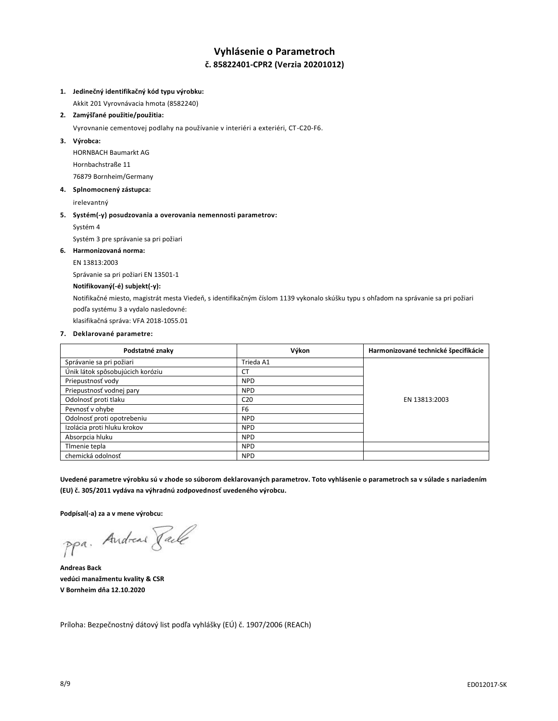# **Vyhlásenie o Parametroch č. 85822401-CPR2 (Verzia 20201012)**

### **1. Jedinečný identifikačný kód typu výrobku:**

Akkit 201 Vyrovnávacia hmota (8582240)

## **2. Zamýšľané použitie/použitia:**

Vyrovnanie cementovej podlahy na používanie v interiéri a exteriéri, CT-C20-F6.

### **3. Výrobca:**

HORNBACH Baumarkt AG Hornbachstraße 11 76879 Bornheim/Germany

## **4. Splnomocnený zástupca:**

irelevantný

### **5. Systém(-y) posudzovania a overovania nemennosti parametrov:**

Systém 4

Systém 3 pre správanie sa pri požiari

## **6. Harmonizovaná norma:**

EN 13813:2003

Správanie sa pri požiari EN 13501-1

## **Notifikovaný(-é) subjekt(-y):**

Notifikačné miesto, magistrát mesta Viedeň, s identifikačným číslom 1139 vykonalo skúšku typu s ohľadom na správanie sa pri požiari podľa systému 3 a vydalo nasledovné:

klasifikačná správa: VFA 2018-1055.01

### **7. Deklarované parametre:**

| Podstatné znaky                  | Výkon           | Harmonizované technické špecifikácie |
|----------------------------------|-----------------|--------------------------------------|
| Správanie sa pri požiari         | Trieda A1       |                                      |
| Únik látok spôsobujúcich koróziu | <b>CT</b>       |                                      |
| Priepustnosť vody                | <b>NPD</b>      |                                      |
| Priepustnosť vodnej pary         | <b>NPD</b>      |                                      |
| Odolnosť proti tlaku             | C <sub>20</sub> | EN 13813:2003                        |
| Pevnosť v ohybe                  | F <sub>6</sub>  |                                      |
| Odolnosť proti opotrebeniu       | <b>NPD</b>      |                                      |
| Izolácia proti hluku krokov      | <b>NPD</b>      |                                      |
| Absorpcia hluku                  | <b>NPD</b>      |                                      |
| Timenie tepla                    | <b>NPD</b>      |                                      |
| chemická odolnosť                | <b>NPD</b>      |                                      |

**Uvedené parametre výrobku sú v zhode so súborom deklarovaných parametrov. Toto vyhlásenie o parametroch sa v súlade s nariadením (EU) č. 305/2011 vydáva na výhradnú zodpovednosť uvedeného výrobcu.**

**Podpísal(-a) za a v mene výrobcu:**

ppa. Andreas Pale

**Andreas Back vedúci manažmentu kvality & CSR V Bornheim dňa 12.10.2020**

Príloha: Bezpečnostný dátový list podľa vyhlášky (EÚ) č. 1907/2006 (REACh)